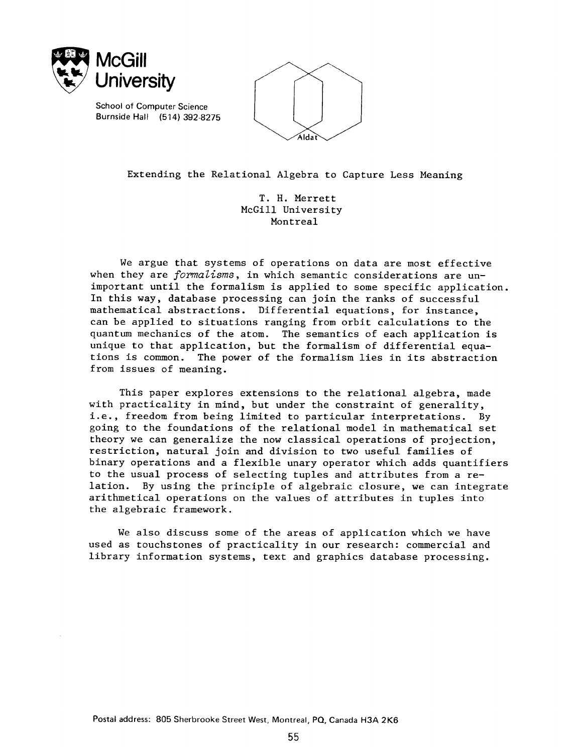

School of Computer Science Burnside Hall (514) 392-8275



Extending the Relational Algebra to Capture Less Meaning

T. H. Merrett McGill University Montreal

We argue that systems of operations on data are most effective when they are *formalisms,* in which semantic considerations are unimportant until the formalism is applied to some specific application. In this way, database processing can join the ranks of successful mathematical abstractions. Differential equations, for instance, mathematical abstractions. Differential equations, for instance, can be applied to situations ranging from orbit calculations to the quantum mechanics of the atom. The semantics of each application is unique to that application, but the formalism of differential equations is common. The power of the formalism lies in its abstraction from issues of meaning.

This paper explores extensions to the relational algebra, made with practicality in mind, but under the constraint of generality, i.e., freedom from being limited to particular interpretations. By going to the foundations of the relational model in mathematical set theory we can generalize the now classical operations of projection, restriction, natural join and division to two useful families of binary operations and a flexible unary operator which adds quantifiers to the usual process of selecting tuples and attributes from a relation. By using the principle of algebraic closure, we can integrate arithmetical operations on the values of attributes in tuples into the algebraic framework.

We also discuss some of the areas of application which we have used as touchstones of practicality in our research: commercial and library information systems, text and graphics database processing.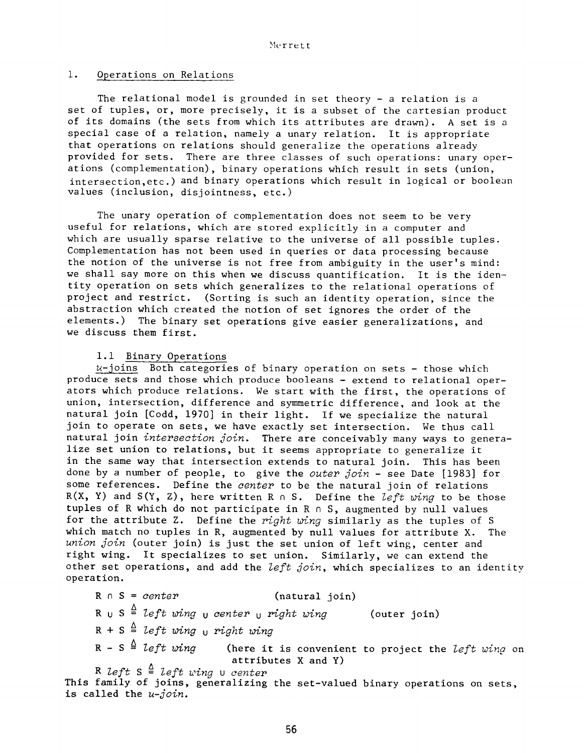# i. Operations on Relations

The relational model is grounded in set theory - a relation is a set of tuples, or, more precisely, it is a subset of the cartesian product of its domains (the sets from which its attributes are drawn). A set is a special case of a relation, namely a unary relation. It is appropriate that operations on relations should generalize the operations already provided for sets. There are three classes of such operations: unary operations (complementation), binary operations which result in sets (union, intersection,etc.) and binary operations which result in logical or boolean values (inclusion, disjointness, etc.)

The unary operation of complementation does not seem to be very useful for relations, which are stored explicitly in a computer and which are usually sparse relative to the universe of all possible tuples. Complementation has not been used in queries or data processing because the notion of the universe is not free from ambiguity in the user's mind: we shall say more on this when we discuss quantification. It is the identity operation on sets which generalizes to the relational operations of project and restrict. (Sorting is such an identity operation, since the abstraction which created the notion of set ignores the order of the elements.) The binary set operations give easier generalizations, and we discuss them first.

# 1.1 Binary Operations

 $u$ -joins Both categories of binary operation on sets - those which produce sets and those which produce booleans - extend to relational operators which produce relations. We start with the first, the operations of union, intersection, difference and symmetric difference, and look at the natural join [Codd, 1970] in their light. If we specialize the natural join to operate on sets, we have exactly set intersection. We thus call natural join *intersection join.* There are conceivably many ways to generalize set union to relations, but it seems appropriate to generalize it in the same way that intersection extends to natural join. This has been done by a number of people, to give the *outer join -* see Date [1983] for some references. Define the *center* to be the natural join of relations R(X, Y) and S(Y, Z), here written R n S. Define the *left wing* to be those tuples of R which do not participate in R n S, augmented by null values for the attribute Z. Define the *right wing* similarly as the tuples of S which match no tuples in R, augmented by null values for attribute X. The *union join* (outer join) is just the set union of left wing, center and right wing. It specializes to set union. Similarly, we can extend the other set operations, and add the *left join,* which specializes to an identity operation.

*R*  $\circ$  *S = center* (natural join)  $R \cup S \stackrel{\Delta}{=}$  *left wing*  $\cup$  *center*  $\cup$  *right wing* (outer join)  $R + S \triangleq$  *left wing u* right wing *R - S ~ left wing* (here it is convenient to project the *left wing* on attributes X and Y)  $R$  *left*  $S \triangleq$  *left wing u center* 

This family of joins, generalizing the set-valued binary operations on sets, is called the *u-join.*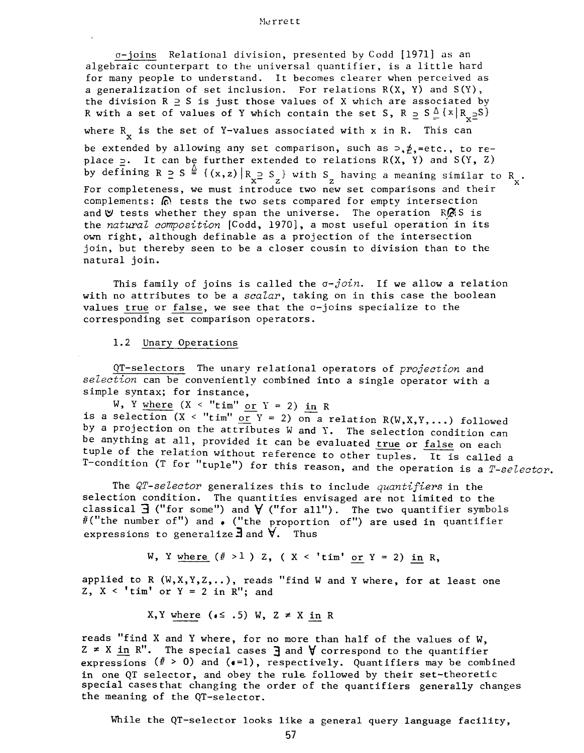o-joins Relational division, presented by Codd [1971] as an algebraic counterpart to the universal quantifier, is a little hard for many people to understand. It becomes clearer when perceived as a generalization of set inclusion. For relations  $R(X, Y)$  and  $S(Y)$ , the division  $R \supseteq S$  is just those values of X which are associated by R with a set of values of Y which contain the set S, R  $\geq S \triangleq \{x \mid R_{\sim 2}S\}$ -- xwhere  $R_{\rm x}$  is the set of Y-values associated with x in R. This can be extended by allowing any set comparison, such as  $\Rightarrow$ ,  $\cancel{p}$ ,=etc., to replace  $\Rightarrow$ . It can be further extended to relations  $R(X, Y)$  and  $S(Y, Z)$ by defining  $R \supseteq S = \{(x, z) | R \supseteq S \atop x^2 \supseteq y$  with  $S \supseteq z$  having a meaning similar to  $R \supseteq x$ . For completeness, we must introduce two new set comparisons and their complements:  $\Omega$  tests the two sets compared for empty intersection and  $\forall$  tests whether they span the universe. The operation R $\alpha$ S is the *natural composition* [Codd, 1970], a most useful operation in its own right, although definable as a projection of the intersection join, but thereby seen to be a closer cousin to division than to the natural join.

This family of joins is called the *o-join.* If we allow a relation with no attributes to be a *scalar,* taking on in this case the boolean values true or false, we see that the  $\sigma$ -joins specialize to the corresponding set comparison operators.

1.2 Unary Operations

QT-selectors The unary relational operators of *projection* and *selection* can be conveniently combined into a single operator with a simple syntax; for instance,

W, Y where  $(X < "tim" or Y = 2)$  in R is a selection  $(X \leq "tim" \underline{\text{or } Y} = 2)$  on a relation  $R(W, X, Y, ...)$  followed by a projection on the attributes W and Y. The selection condition can be anything at all, provided it can be evaluated true or false on each tuple of the relation without reference to other tuples. "It is called a T-condition (T for "tuple") for this reason, and the operation is a *T-selector.* 

The *QT-selector* generalizes this to include *quantifiers* in the selection condition. The quantities envisaged are not limited to the classical  $\exists$  ("for some") and  $\forall$  ("for all"). The two quantifier symbols #("the number of") and , ("the proportion of") are used in quantifier expressions to generalize  $\exists$  and  $\forall$ . Thus

W, Y where  $(\# >1)$  Z,  $(X < 'tim'$  or  $Y = 2)$  in R,

applied to R  $(W, X, Y, Z, ...)$ , reads "find W and Y where, for at least one Z,  $X < 'tim'$  or  $Y = 2$  in  $R''$ ; and

X,Y where 
$$
( \bullet \leq .5)
$$
 W,  $z \neq X$  in R

reads "find X and Y where, for no more than half of the values of W,  $Z \neq X \text{ in } \mathbb{R}^n$ . The special cases  $\frac{1}{2}$  and  $\forall$  correspond to the quantifier expressions  $(* > 0)$  and  $(*=1)$ , respectively. Quantifiers may be combined in one QT selector, and obey the rule followed by their set-theoretic special casesthat changing the order of the quantifiers generally changes the meaning of the QT-selector.

While the QT-selector looks like a general query language facility,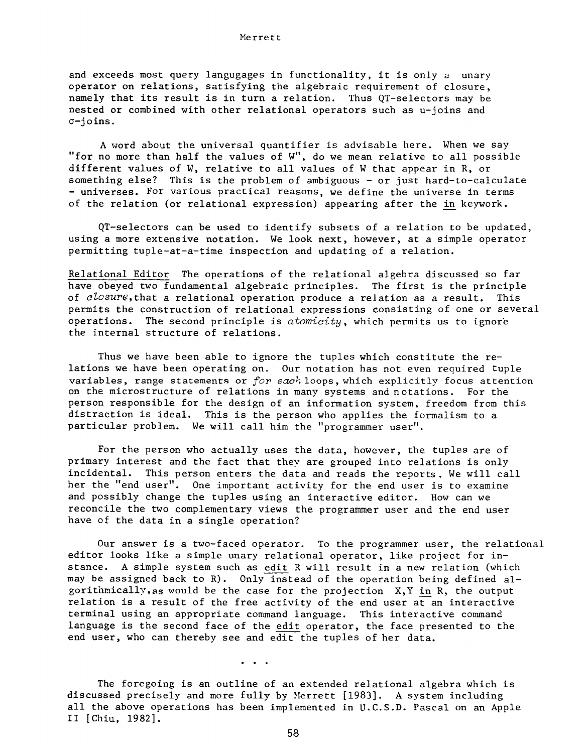and exceeds most query langugages in functionality, it is only a unary operator on relations, satisfying the algebraic requirement of closure, namely that its result is in turn a relation. Thus QT-selectors may be nested or combined with other relational operators such as u-joins and o-j o ins.

A word about the universal quantifier is advisable here. When we say "for no more than half the values of W", do we mean relative to all possible different values of W, relative to all values of W that appear in R, or something else? This is the problem of ambiguous - or just hard-to-calculate - universes. For various practical reasons, we define the universe in terms of the relation (or relational expression) appearing after the in keywork.

QT-selectors can be used to identify subsets of a relation to be updated, using a more extensive notation. We look next, however, at a simple operator permitting tuple-at-a-time inspection and updating of a relation.

Relational Editor The operations of the relational algebra discussed so far have obeyed two fundamental algebraic principles. The first is the principle of *closure,that* a relational operation produce a relation as a result. This permits the construction of relational expressions consisting of one or several operations. The second principle is *atomicity,* which permits us to ignore the internal structure of relations.

Thus we have been able to ignore the tuples which constitute the relations we have been operating on. Our notation has not even required tuple variables, range statements or *for each* loops, which explicitly focus attention on the microstructure of relations in many systems and notations. For the person responsible for the design of an information system, freedom from this distraction is ideal. This is the person who applies the formalism to a particular problem. We will call him the "programmer user".

For the person who actually uses the data, however, the tuples are of primary interest and the fact that they are grouped into relations is only incidental. This person enters the data and reads the reports. We will call her the "end user". One important activity for the end user is to examine and possibly change the tuples using an interactive editor. How can we reconcile the two complementary views the programmer user and the end user have of the data in a single operation?

Our answer is a two-faced operator. To the programmer user, the relational editor looks like a simple unary relational operator, like project for instance. A simple system such as edit R will result in a new relation (which may be assigned back to R). Only instead of the operation being defined algorithmically,as would be the case for the projection X,Y in R, the output relation is a result of the free activity of the end user at an interactive terminal using an appropriate command language. This interactive command language is the second face of the edit operator, the face presented to the end user, who can thereby see and edit the tuples of her data.

The foregoing is an outline of an extended relational algebra which is discussed precisely and more fully by Merrett [1983]. A system including all the above operations has been implemented in U.C.S.D. Pascal on an Apple II [Chiu, 1982].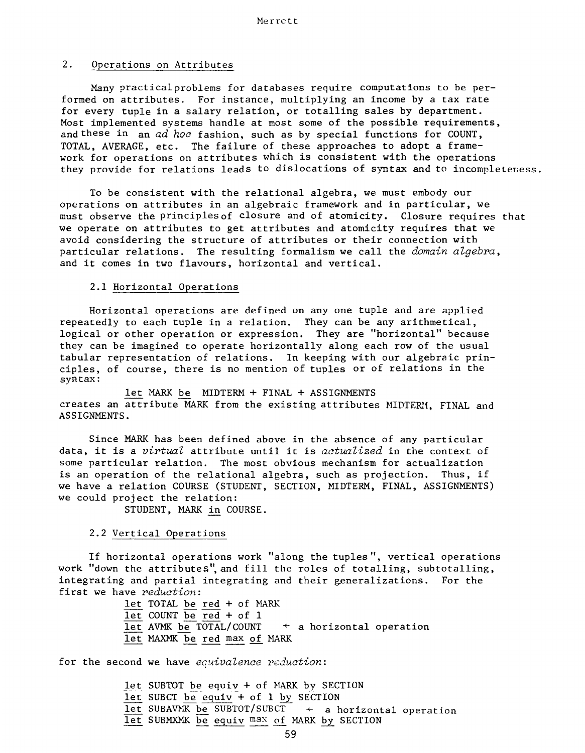Merrctt

### 2. Operations on Attributes

Many practicalproblems for databases require computations to be performed on attributes. For instance, multiplying an income by a tax rate for every tuple in a salary relation, or totalling sales by department. Most implemented systems handle at most some of the possible requirements, and these in an *ad hoc* fashion, such as by special functions for COUNT, TOTAL, AVERAGE, etc. The failure of these approaches to adopt a framework for operations on attributes which is consistent with the operations they provide for relations leads to dislocations of syntax and to incompleteness.

To be consistent with the relational algebra, we must embody our operations on attributes in an algebraic framework and in particular, we must observe the principlesof closure and of atomicity. Closure requires that we operate on attributes to get attributes and atomicity requires that we avoid considering the structure of attributes or their connection with particular relations. The resulting formalism we call the *domain algebra,*  and it comes in two flavours, horizontal and vertical.

# 2.1 Horizontal Operations

Horizontal operations are defined on any one tuple and are applied repeatedly to each tuple in a relation. They can be any arithmetical, logical or other operation or expression. They are "horizontal" because they can be imagined to operate horizontally along each row of the usual tabular representation of relations. In keeping with our algebraic principles, of course, there is no mention of tuples or of relations in the syntax:

let MARK be MIDTERM + FINAL + ASSIGNMENTS creates an attribute MARK from the existing attributes MIDTERM, FINAL and ASSIGNMENTS.

Since MARK has been defined above in the absence of any particular data, it is a *virtual* attribute until it is *actualized* in the context of some particular relation. The most obvious mechanism for actualization is an operation of the relational algebra, such as projection. Thus, if we have a relation COURSE (STUDENT, SECTION, MIDTERM, FINAL, ASSIGNMENTS) we could project the relation:

STUDENT, MARK in COURSE.

## 2.2 Vertical Operations

If horizontal operations work "along the tuples", vertical operations work "down the attributes", and fill the roles of totalling, subtotalling, integrating and partial integrating and their generalizations. For the first we have *reduction:* 

> let TOTAL be red + of MARK let COUNT be red + of i  $\overline{\text{let}}$  AVMK be TOTAL/COUNT  $\quad$  a horizontal operation let MAXMK be red max of MARK

for the second we have *equivalence reduction:* 

 $let$  SUBTOT be equiv + of MARK by SECTION let SUBCT be equiv + of I by SECTION let SUBAVMK be SUBTOT/SUBCT  $\leftarrow$  a horizontal operation let SUBMXMK be equiv max of MARK by SECTION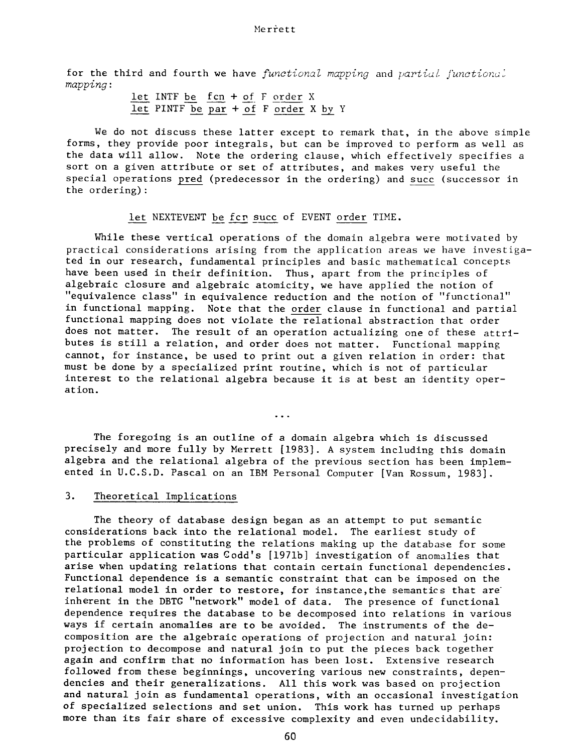for the third and fourth we have *functional mapping* and *partial functional mapping*: *mapping:* 

 $\frac{1}{\sqrt{1-\frac{1}{1-\frac{1}{1-\frac{1}{1-\frac{1}{1-\frac{1}{1-\frac{1}{1-\frac{1}{1-\frac{1}{1-\frac{1}{1-\frac{1}{1-\frac{1}{1-\frac{1}{1-\frac{1}{1-\frac{1}{1-\frac{1}{1-\frac{1}{1-\frac{1}{1-\frac{1}{1-\frac{1}{1-\frac{1}{1-\frac{1}{1-\frac{1}{1-\frac{1}{1-\frac{1}{1-\frac{1}{1-\frac{1}{1-\frac{1}{1-\frac{1}{1-\frac{1}{1-\frac{1}{1-\frac{1}{1-\frac{1}{1-\frac{1}{1-\frac{1}{1-\frac{1}{1-\$ let PINTF be par + of F order X b

We do not discuss these latter except to remark that, in the above simple forms, they provide poor integrals, but can be improved to perform as well as the data will allow. Note the ordering clause, which effectively specifies a sort on a given attribute or set of attributes, and makes very useful the  $s_{\text{position}}$  and  $s_{\text{model}}$  in the additional matrix  $s_{\text{model}}$  $s_p$  is ordering):  $\frac{p-1}{p-1}$  (predictions in the ordering) and  $\frac{p-1}{p-1}$  (successor in  $\cdots$   $\cdots$ 

# let NEXTEVENT be fcn succ of EVENT order TIME.

While these vertical operations of the domain algebra were motivated by<br>practical considerations arising from the application areas we have investigated in our research, fundamental principles and basic mathematical concepts have been used in their definition. Thus, apart from the principles of algebraic closure and algebraic atomicity, we have applied the notion of "equivalence class" in equivalence reduction and the notion of "functional" in functional mapping. Note that the order clause in functional and partial functional mapping does not violate the relational abstraction that order does not matter. The result of an operation actualizing one of these attributes is still a relation, and order does not matter. Functional mapping cannot, for instance, be used to print out a given relation in order: that must be done by a specialized print routine, which is not of particular  $\frac{1}{2}$  interest to the relational plasma because it is at best or identity or  $\frac{1}{2}$  $\sum_{i=1}^n$ ation.

The foregoing is an outline of a domain algebra which is discussed<br>precisely and more fully by Merrett [1983]. A system including this domain algebra and the relational algebra of the previous section has been implemanted in  $\prod_{i=1}^{n} C_i$  and  $\prod_{i=1}^{n} D_i$  and  $\prod_{i=1}^{n} D_i$  algebra of the previous section  $D_i$ ented in U.C.S.D. Pascal on an IBM Personal Computer [Van Rossum, 1983].

 $\ddotsc$ 

#### $3.$ Theoretical Implications

The theory of database design began as an attempt to put semantic<br>considerations back into the relational model. The earliest study of the problems of constituting the relations making up the database for some particular application was Codd's [1971b] investigation of anomalies that arise when updating relations that contain certain functional dependencies. Functional dependence is a semantic constraint that can be imposed on the relational model in order to restore, for instance, the semantics that are inherent in the DBTG "network" model of data. The presence of functional dependence requires the database to be decomposed into relations in various ways if certain anomalies are to be avoided. The instruments of the decomposition are the algebraic operations of projection and natural join: projection to decompose and natural join to put the pieces back together again and confirm that no information has been lost. Extensive research followed from these beginnings, uncovering various new constraints, dependencies and their generalizations. All this work was based on projection and natural join as fundamental operations, with an occasional investigation of specialized selections and set union. This work has turned up perhaps  $\overline{\phantom{a}}$  specialized set union. This work has turned up to the set up perhaps  $\overline{\phantom{a}}$  that  $\overline{\phantom{a}}$ more than its fair share of excessive complexity and even undecidability.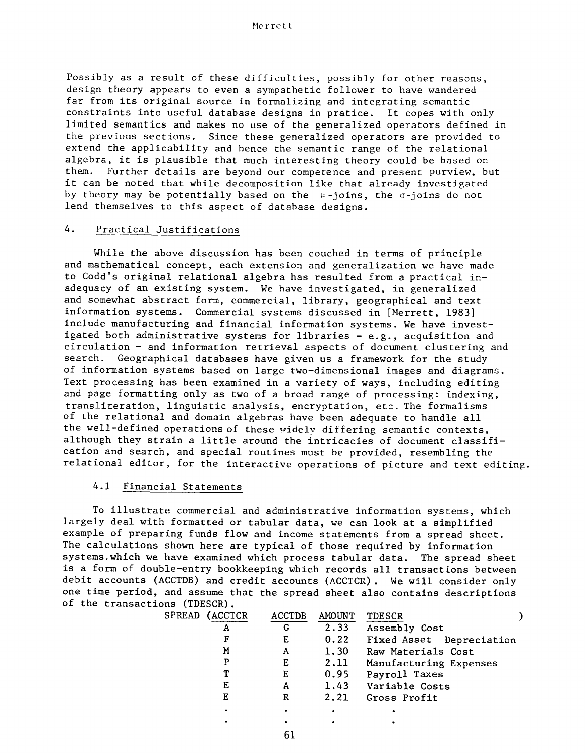Possibly as a result of these difficulties, possibly for other reasons, design theory appears to even a sympathetic follower to have wandered far from its original source in formalizing and integrating semantic constraints into useful database designs in pratice. It copes with only limited semantics and makes no use of the generalized operators defined in the previous sections. Since these generalized operators are provided to extend the applicability and hence the semantic range of the relational algebra, it is plausible that much interesting theory could be based on them. Further details are beyond our competence and present purview, but it can be noted that while decomposition like that already investigated by theory may be potentially based on the  $\mu$ -joins, the  $\sigma$ -joins do not lend themselves to this aspect of database designs.

# 4. Practical Justifications

While the above discussion has been couched in terms of principle and mathematical concept, each extension and generalization we have made to Codd's original relational algebra has resulted from a practical inadequacy of an existing system. We have investigated, in generalized and somewhat abstract form, commercial, library, geographical and text information systems. Commercial systems discussed in [Merrett, 1983] include manufacturing and financial information systems. We have investigated both administrative systems for libraries - e.g., acquisition and circulation - and information retrieval aspects of document clustering and search. Geographical databases have given us a framework for the study of information systems based on large two-dimensional images and diagrams. Text processing has been examined in a variety of ways, including editing and page formatting only as two of a broad range of processing: indexing, transliteration, linguistic analysis, encryptation, etc. The formalisms of the relational and domain algebras have been adequate to handle all the well-defined operations of these widely differing semantic contexts, although they strain a little around the intricacies of document classification and search, and special routines must be provided, resembling the relational editor, for the interactive operations of picture and text editing.

### 4.1 Financial Statements

To illustrate commercial and administrative information systems, which largely deal with formatted or tabular data, we can look at a simplified example of preparing funds flow and income statements from a spread sheet. The calculations shown here are typical of those required by information systems.which we have examined which process tabular data. The spread sheet is a form of double-entry bookkeeping which records all transactions between debit accounts (ACCTDB) and credit accounts (ACCTCR). We will consider only one time period, and assume that the spread sheet also contains descriptions of the transactions (TDESCR).

| <b>SPREAD (ACCTCR</b> | <b>ACCTDB</b> | <b>AMOUNT</b> | <b>TDESCR</b>            |  |
|-----------------------|---------------|---------------|--------------------------|--|
|                       | G             | 2.33          | Assembly Cost            |  |
|                       | E             | 0.22          | Fixed Asset Depreciation |  |
| M                     | A             | 1.30          | Raw Materials Cost       |  |
| P                     | E             | 2.11          | Manufacturing Expenses   |  |
| т                     | E             | 0.95          | Payroll Taxes            |  |
| Е                     | A             | 1.43          | Variable Costs           |  |
| Е                     | R             | 2.21          | Gross Profit             |  |
|                       |               | $\bullet$     |                          |  |
| ٠                     |               |               |                          |  |
|                       |               |               |                          |  |

61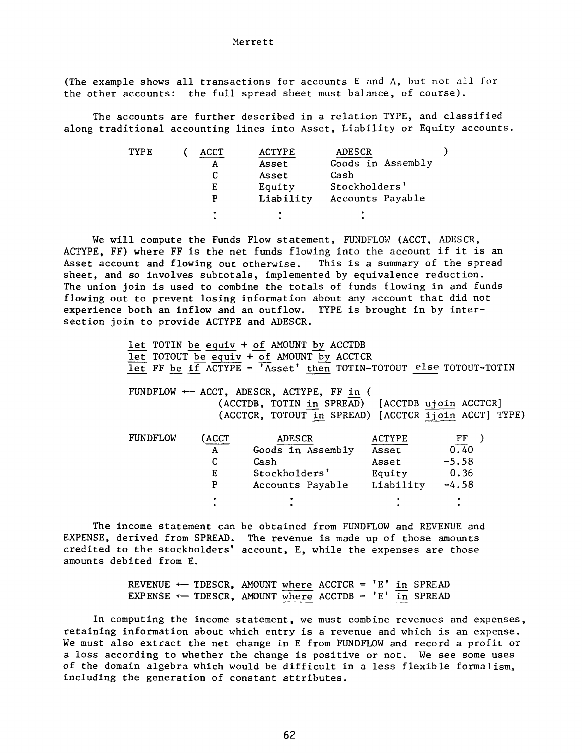(The example shows all transactions for accounts E and A, but not all for the other accounts: the full spread sheet must balance, of course).

The accounts are further described in a relation TYPE, and classified along traditional accounting lines into Asset, Liability or Equity accounts.

| TYPE | ACCT | <b>ACTYPE</b> | <b>ADESCR</b>     |  |
|------|------|---------------|-------------------|--|
|      |      | Asset         | Goods in Assembly |  |
|      |      | Asset         | Cash              |  |
|      | E.   | Equity        | Stockholders'     |  |
|      |      | Liability     | Accounts Payable  |  |
|      | ٠    | $\bullet$     |                   |  |

We will compute the Funds Flow statement, FUNDFLOW (ACCT, ADESCR, ACTYPE, FF) where FF is the net funds flowing into the account if it is an Asset account and flowing out otherwise. This is a summary of the spread sheet, and so involves subtotals, implemented by equivalence reduction. The union join is used to combine the totals of funds flowing in and funds flowing out to prevent losing information about any account that did not experience both an inflow and an outflow. TYPE is brought in by intersection join to provide ACTYPE and ADESCR.

> $let$  TOTIN be equiv  $+$  of AMOUNT by ACCTDB let TOTOUT be equiv + of AMOUNT by ACCTCR let FF be  $i\bar{f}$  ACTYPE =  $\bar{f}$ Asset' then TOTIN-TOTOUT else TOTOUT-TOTIN

FUNDFLOW  $\leftarrow$  ACCT, ADESCR, ACTYPE, FF in ( (ACCTDB, TOTIN in SPREAD) [ACCTDB ujoin ACCTCR] (ACCTCR, TOTOUT in SPREAD) [ACCTCR ijoin ACCT] TYPE)

| FUNDFLOW | <b>ACCT</b> | <b>ADESCR</b>     | <b>ACTYPE</b> | FF      |
|----------|-------------|-------------------|---------------|---------|
|          |             | Goods in Assembly | Asset         | 0.40    |
|          |             | Cash              | Asset         | $-5.58$ |
|          |             | Stockholders'     | Equity        | 0.36    |
|          |             | Accounts Payable  | Liability     | $-4.58$ |
|          |             |                   |               |         |
|          |             |                   |               |         |

The income statement can be obtained from FUNDFLOW and REVENUE and EXPENSE, derived from SPREAD. The revenue is made up of those amounts credited to the stockholders' account, E, while the expenses are those amounts debited from E.

> REVENUE  $\leftarrow$  TDESCR, AMOUNT where ACCTCR = 'E' in SPREAD EXPENSE  $\leftarrow$  TDESCR, AMOUNT where ACCTDB = 'E' in SPREAD

In computing the income statement, we must combine revenues and expenses, retaining information about which entry is a revenue and which is an expense. We must also extract the net change in E from FUNDFLOW and record a profit or a loss according to whether the change is positive or not. We see some uses of the domain algebra which would be difficult in a less flexible formalism, including the generation of constant attributes.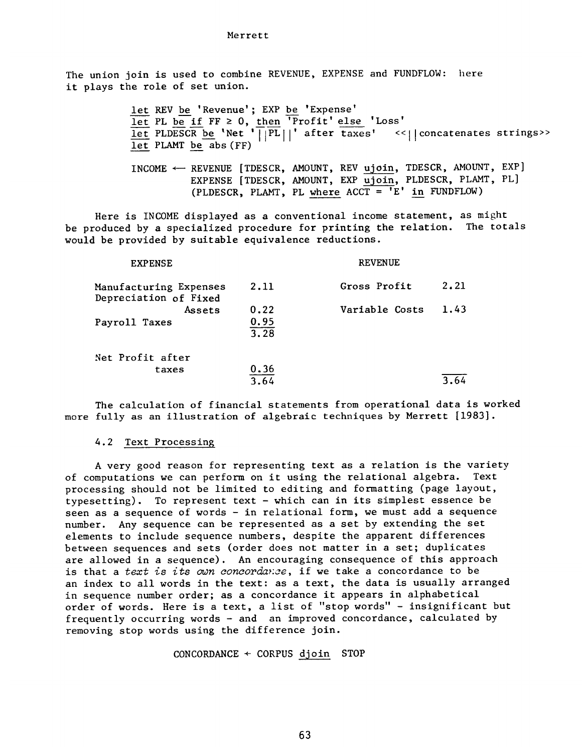#### Merrett Merrett

 $T_{\rm H}$  is used to combine REVENUE,  $\epsilon$  and  $\epsilon$  and  $\epsilon$  and  $\epsilon$  and  $\epsilon$  and  $\epsilon$  and  $\epsilon$  and  $\epsilon$  and  $\epsilon$  and  $\epsilon$  and  $\epsilon$  and  $\epsilon$  and  $\epsilon$  and  $\epsilon$  and  $\epsilon$  and  $\epsilon$  and  $\epsilon$  and  $\epsilon$  and  $\epsilon$  and  $\epsilon$  and  $\epsilon$ it plays the role of set union.

> <u>let</u> REV be 'Revenue'; EXP be 'Expense'<br>let PL be if FF  $\geq 0$ , then 'Profit' else 'Loss'  $\frac{1}{1}$  be  $\frac{1}{1}$  be  $\frac{1}{1}$  if  $\frac{1}{1}$  efter to  $\frac{1}{1}$  .  $\frac{1}{100}$  PLANE be she (PP)  $\frac{1}{100}$   $\frac{1}{100}$ let PLAMT be abs(FF) INCOME - REVENUE [TDESCR, AMOUNT, REV ujoin, TDESCR, AMOUNT, EXP]<br>EXPENSE [TDESCR, AMOUNT, EXP ujoin, PLDESCR, PLAMT, PL]  $\frac{E}{\epsilon}$   $\frac{E}{\epsilon}$   $\frac{E}{\epsilon}$   $\frac{E}{\epsilon}$   $\frac{E}{\epsilon}$   $\frac{E}{\epsilon}$   $\frac{E}{\epsilon}$   $\frac{E}{\epsilon}$   $\frac{E}{\epsilon}$   $\frac{E}{\epsilon}$   $\frac{E}{\epsilon}$   $\frac{E}{\epsilon}$   $\frac{E}{\epsilon}$   $\frac{E}{\epsilon}$   $\frac{E}{\epsilon}$   $\frac{E}{\epsilon}$   $\frac{E}{\epsilon}$   $\frac{E}{\epsilon}$   $\frac{E}{\epsilon}$   $\frac{E}{\epsilon}$   $\sum_{n=1}^{\infty}$

Here is INCOME displayed as a conventional income statement, as might<br>be produced by a specialized procedure for printing the relation. The totals  $\mu$  and the production produced produced produced produced produced produced produced produced produced produced produced produced produced produced produced produced produced produced produced produced produced produced would be provided by suitable equivalence reductions.

| <b>EXPENSE</b>                                  |                      | <b>REVENUE</b> |      |
|-------------------------------------------------|----------------------|----------------|------|
| Manufacturing Expenses<br>Depreciation of Fixed | 2.11                 | Gross Profit   | 2.21 |
| Assets<br>Payroll Taxes                         | 0.22<br>0.95<br>3.28 | Variable Costs | 1.43 |
| Net Profit after<br>taxes                       | 0.36<br>3.64         |                | 3.64 |

 $T_{\text{total}}$  is a calculation of statements from operation of  $\epsilon$  from  $\alpha$  is  $\alpha$  is worked in  $\alpha$ more function as an individual techniques by Merrett  $\frac{1}{2}$ 

#### 4.2 Text Processing

A very good reason for representing text as a relation is the variety of computations we can perform on it using the relational algebra. Text processing should not be limited to editing and formatting (page layout, typesetting). To represent text - which can in its simplest essence be seen as a sequence of words - in relational form, we must add a sequence number. Any sequence can be represented as a set by extending the set elements to include sequence numbers, despite the apparent differences between sequences and sets (order does not matter in a set; duplicates are allowed in a sequence). An encouraging consequence of this approach is that a text is its own concordance, if we take a concordance to be an index to all words in the text: as a text, the data is usually arranged in sequence number order; as a concordance it appears in alphabetical order of words. Here is a text, a list of "stop words" - insignificant but frequently occurring words - and an improved concordance, calculated by  $f(x) = \frac{1}{2}$  and an improved concordance, calculated concording  $f(x) = \frac{1}{2}$  and  $f(x) = \frac{1}{2}$  and  $f(x) = \frac{1}{2}$  and  $f(x) = \frac{1}{2}$  and  $f(x) = \frac{1}{2}$  and  $f(x) = \frac{1}{2}$  and  $f(x) = \frac{1}{2}$  and  $f(x) = \frac{1}{2}$  and  $f(x) = \frac{1}{2}$ removing stop words using the difference join.

 $CONCORDANCE \leftarrow CORPUS$  djoin STOP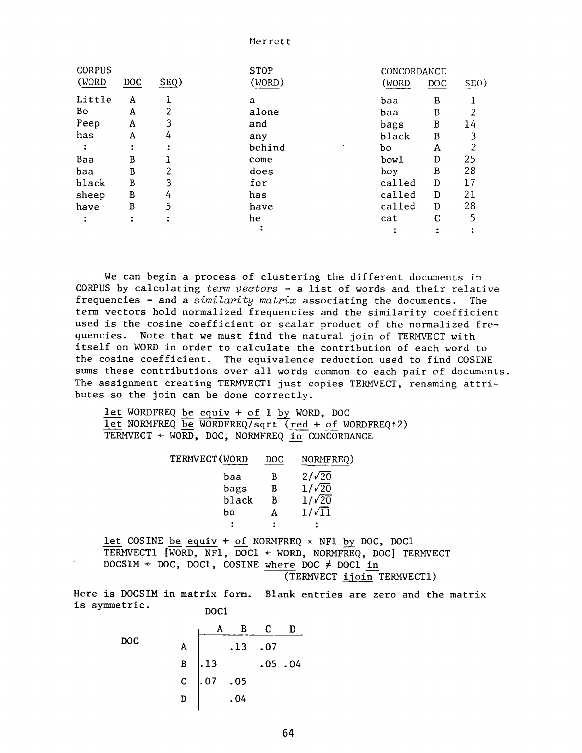| <b>CORPUS</b> |            |      | <b>STOP</b> | CONCORDANCE |            |       |
|---------------|------------|------|-------------|-------------|------------|-------|
| (WORD)        | <b>DOC</b> | SEQ) | (WORD)      | (WORD)      | <b>DOC</b> | SE(0) |
| Little        | A          |      | a           | baa         | B          |       |
| Bo            | A          | 2    | alone       | baa         | B          | 2     |
| Peep          | A          | 3    | and         | bags        | В          | 14    |
| has           | A          | 4    | any         | black       | B          | 3     |
|               |            |      | behind      | bo          | A          | 2     |
| Baa           | B          |      | come        | bowl        | D          | 25    |
| baa           | B          | 2    | does        | boy         | B          | 28    |
| black         | B          | 3    | for         | called      | D          | 17    |
| sheep         | B          | 4    | has         | called      | D          | 21    |
| have          | В          | 5    | have        | called      | D          | 28    |
|               |            |      | he          | cat         | C          | 5     |
|               |            |      |             |             |            |       |

We can begin a process of clustering the different documents in CORPUS by calculating *term vectors* - a list of words and their relative frequencies - and a *similarity matrix* associating the documents. The term vectors hold normalized frequencies and the similarity coefficient used is the cosine coefficient or scalar product of the normalized frequencies. Note that we must find the natural join of TERMVECT with itself on WORD in order to calculate the contribution of each word to the cosine coefficient. The equivalence reduction used to find COSINE sums these contributions over all words common to each pair of documents. The assignment creating TERMVECTI just copies TERMVECT, renaming attributes so the join can be done correctly.

let WORDFREQ be equiv  $+$  of 1 by WORD, DOC  $\overline{let}$  NORMFREQ  $\overline{be}$  WORDFREQ/sqrt (red + of WORDFREQ+2) TERMVECT ÷ WORD, DOC, NORMFREQ in CONCORDANCE

| <b>TERMVECT (WORD</b> | DOC | NORMFREQ)     |
|-----------------------|-----|---------------|
| baa                   | в   | $2/\sqrt{20}$ |
| bags                  | в   | $1/\sqrt{20}$ |
| black                 | в   | $1/\sqrt{20}$ |
| bo                    | А   | $1/\sqrt{11}$ |
|                       |     |               |

let COSINE be equiv + of NORMFREQ  $\times$  NF1 by DOC, DOC1 TERMVECTi [WORD, NF1, DOCi ÷ WORD, NORMFREQ, DOC] TERMVECT  $DOCSIM \leftarrow DOC, DOCI, COSINE where DOC \neq DOCI in$ 

(TERMVECT ijoin TERMVECTi)

Here is DOCSIM in matrix form. is symmetric. DOCI Blank entries are zero and the matrix

> A **B**  C **D**  DOC A  $\vert .13 \vert$ .07 .05 **B C D**  .13 .07 **• 04**  .05 .04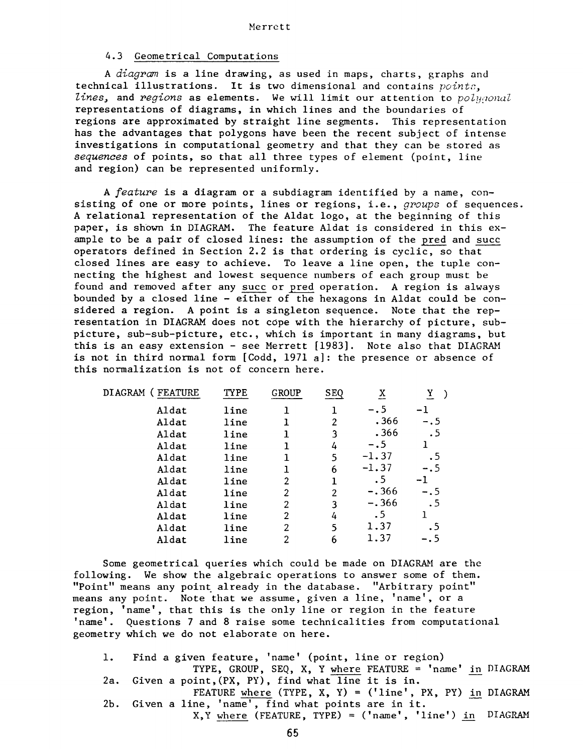# 4.3 Geometrical Computations

*A diagram* is a line drawing, as used in maps, charts, graphs and technical illustrations. It is two dimensional and contains *pointc, lines,* and *regions* as elements. We will limit our attention to *polygonal* representations of diagrams, in which lines and the boundaries of regions are approximated by straight line segments. This representation has the advantages that polygons have been the recent subject of intense has the advantages that polygons have been the recent subject of intense investigations in computational geometry and that they can be stored as *8equenae8* of points, so that all three types of element (point, line and region) can be represented uniformly.

*A feature* is a diagram or a subdiagram identified by a name, con-<br>sisting of one or more points, lines or regions, i.e., *groups* of sequences. sisting of one or more points, lines or regions, i.e., *groups* of sequences. A relational representation of the Aldat logo, at the beginning of this paper, is shown in DIAGRAM. The feature Aldat is considered in this ex-<br>ample to be a pair of closed lines: the assumption of the pred and succ ample to be a pair of closed fines. the assumption of the pred and succe operators defined in Section 2.2 is that ordering is cyclic, so that closed lines are easy to achieve. To leave a line open, the tuple connecting the highest and lowest sequence numbers of each group must be found and removed after any succ or pred operation. A region is always<br>bounded by a closed line - either of the hexagons in Aldat could be conbounded by a closed line - either of the hexagons in Aldat could be considered a region. A point is a singleton sequence. Note that the representation in DIAGRAM does not cope with the hierarchy of picture, sub-<br>picture, sub-sub-picture, etc., which is important in many diagrams, but picture, sub-sub-picture, etc., which is important in many diagrams, but this is an easy extension - see Merrett [1983]. Note also that DIAGRAM is not in third normal form [Codd, 1971 a]: the presence or absence of this normalization is not of concern here.

| DIAGRAM ( FEATURE | TYPE | GROUP | <b>SEQ</b> | $\overline{\chi}$ | Y         |
|-------------------|------|-------|------------|-------------------|-----------|
| Aldat             | line |       |            | $-1.5$            | -1        |
| Aldat             | line |       | 2          | .366              | $-0.5$    |
| Aldat             | line |       | 3          | .366              | $\cdot$ 5 |
| Aldat             | line |       | 4          | $-.5$             | 1         |
| Aldat             | line |       | 5          | $-1.37$           | $\cdot$ 5 |
| Aldat             | line |       | 6          | $-1.37$           | $-.5$     |
| Aldat             | line | 2     |            | $\cdot$ 5         | $-1$      |
| Aldat             | line | 2     | 2          | $-.366$           | $-.5$     |
| Aldat             | line | 2     | 3          | $-.366$           | $\cdot$ 5 |
| Aldat             | line | 2     | 4          | $\cdot$ 5         |           |
| Aldat             | line | 2     | 5          | 1.37              | .5        |
| Aldat             | line | 2     | 6          | 1.37              | -.5       |
|                   |      |       |            |                   |           |

Some geometrical queries which could be made on DIAGRAM are the following. We show the algebraic operations to answer some of them. "Point" means any point already in the database. "Arbitrary point" means any point. Note that we assume, given a line, 'name', or a<br>region, 'name', that this is the only line or region in the feature region, 'name', that this is the only line or region in the feature hane. Questions 7 and 8 raise some technicalities from computational geometry which we do not elaborate on here.

i. Find a given feature, 'name' (point, line or region) TYPE, GROUP, SEQ, X, Y where FEATURE = 'name' in DIAGRAM 2a. Given a point,(PX, PY), find what line it is in. FEATURE where  $(TYPE, X, Y) = ('line', PX, PY)$  in DIAGRAM 2b. Given a line, 'name', find what points are in it.  $X, Y$  where (FEATURE, TYPE) = ('name', 'line') in DIAGRAM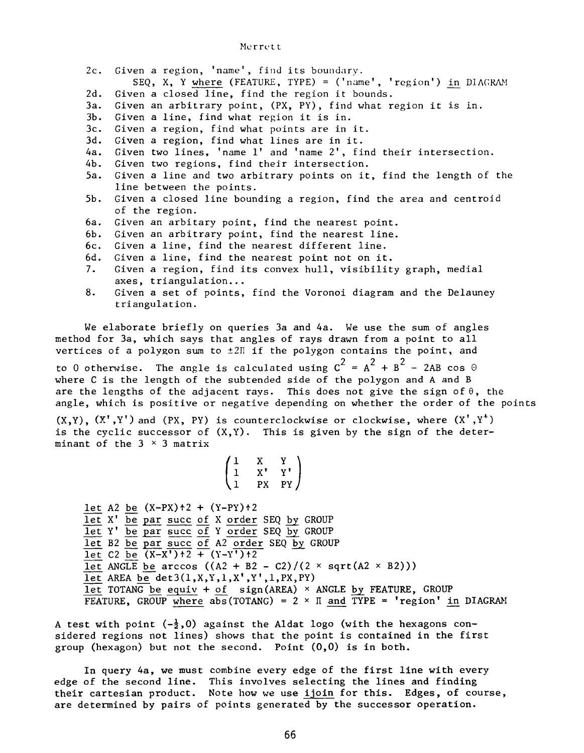- 2c. Given a region, 'name', find its boundary.
- SEQ, X, Y where (FEATURE, TYPE) = ('name', 'region') in DIAGRAM
- 2d. Given a closed line, find the region it bounds.
- 3a. Given an arbitrary point, (PX, PY), find what region it is in.
- 3b. Given a line, find what region it is in.
- 3c. Given a region, find what points are in it.
- 3d. Given a region, find what lines are in it.
- 4a. Given two lines, 'name i' and 'name 2', find their intersection.
- 4b. Given two regions, find their intersection.
- 5a. Given a line and two arbitrary points on it, find the length of the line between the points.
- 5b. Given a closed line bounding a region, find the area and centroid of the region.
- 6a. Given an arbitary point, find the nearest point.
- 6b. Given an arbitrary point, find the nearest line.
- 6c. Given a line, find the nearest different line.
- 6d. Given a line, find the nearest point not on it.
- 7. Given a region, find its convex hull, visibility graph, medial axes, triangulation...
- 8. Given a set of points, find the Voronoi diagram and the Delauney triangulation.

We elaborate briefly on queries 3a and 4a. We use the sum of angles method for 3a, which says that angles of rays drawn from a point to all vertices of a polygon sum to  $\pm 2\mathbb{I}$  if the polygon contains the point, and

to 0 otherwise. The angle is calculated using  $C^2 = A^2 + B^2 - 2AB \cos \theta$ where C is the length of the subtended side of the polygon and A and B are the lengths of the adjacent rays. This does not give the sign of  $\theta$ , the angle, which is positive or negative depending on whether the order of the points

 $(X,Y)$ ,  $(X',Y')$  and  $(PX, PY)$  is counterclockwise or clockwise, where  $(X', Y')$ is the cyclic successor of  $(X, Y)$ . This is given by the sign of the determinant of the  $3 \times 3$  matrix

|     | X  | Ÿ  |
|-----|----|----|
| -1. | X. | Y  |
|     | PX | PΥ |

let A2 be  $(X-PX)+2 + (Y-PY)+2$  $let X' be par succ of X order SEQ by GROUP$  $let Y' be par succ of Y order SEQ by GROUP$  $let B2 be par succ of A2 order SEQ by GROUP$ let C2 be  $(X-X')$ +2 +  $(Y-Y')$ +2 let ANGLE be arccos  $((A2 + B2 - C2)/(2 \times sqrt(A2 \times B2)))$ let AREA be  $det3(1, X, Y, 1, X', Y', 1, PX, PY)$ let TOTANG be equiv + of sign(AREA)  $\times$  ANGLE by FEATURE, GROUP FEATURE, GROUP where abs(TOTANG) =  $2 \times$  II and TYPE = 'region' in DIAGRAM

A test with point  $\left(-\frac{1}{2},0\right)$  against the Aldat logo (with the hexagons considered regions not lines) shows that the point is contained in the first group (hexagon) but not the second. Point (0,0) is in both.

In query 4a, we must combine every edge of the first line with every edge of the second line. This involves selecting the lines and finding their cartesian product. Note how we use ijoin for this. Edges, of course, are determined by pairs of points generated by the successor operation.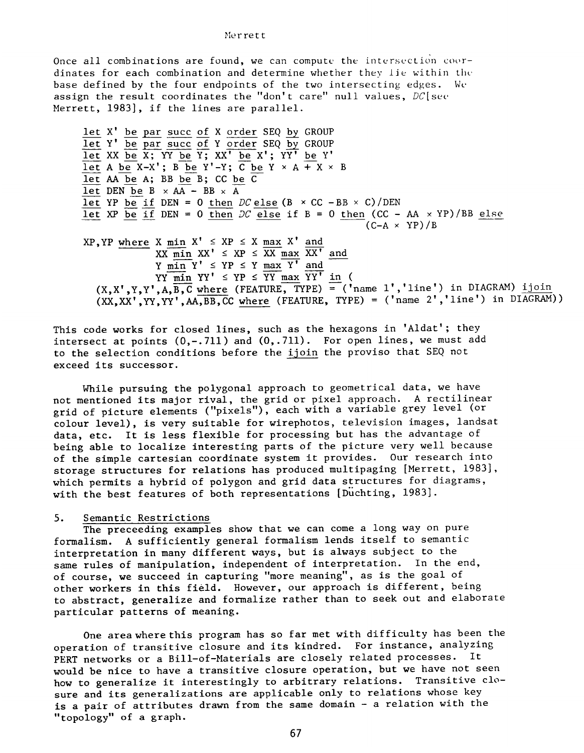Once all combinations are found, we can compute the intersection coor-<br>dinates for each combination and determine whether they lie within the base defined by the four endpoints of the two intersecting edges. We assign the result coordinates the "don't care" null values,  $DC$  see assign the result coordinates the "don't care" null values, DC[see  $M(1,1,1,1)$ , if the lines are parallel.

let X' be Bar succ of X order SEQ b~ GROUP let Y' be par succ of Y order SEQ b~ GROUP let XX be X; YY be Y; XX' be X'; YY' be Y' let A be X-X'; B be Y'-Y; C be Y x A + X x B let AA be A; BB be B; CC be C let DEN be B x AA - BB × A let YP be if DEN = 0 then *DCelse* (B x CC -BB × C)/DEN let XP be if DEN = 0 then DC else if B = 0 then (CC - AA × YP)/BB else (C-A × YP)/B XP,YP where X min X' ~ XP ~ X max X' and -- XX min XX' ~ XP ~ XX max XX' and Y min Y' s YP ~ Y max Y' and YY min YY' s YP ~ YY max YY' in ( (X,X',Y,Y',A,B,C where (FEATURE, TYPE) ----('name l','line') in DIAGRAM) ijoin (XX,XX',YY,YY',AA,BB,CC where (FEATURE, TYPE) = ('name 2','line') in DIAGRAM))

This code works for closed lines, such as the hexagons in 'Aldat'; they intersect at points  $(0, -.711)$  and  $(0, .711)$ . For open lines, we must add  $\frac{1}{2}$  intersect at points (0,-.711) and (1,-.711). For open lines, we must add that  $\frac{1}{2}$  and  $\frac{1}{2}$  and  $\frac{1}{2}$  and  $\frac{1}{2}$  and  $\frac{1}{2}$  and  $\frac{1}{2}$  and  $\frac{1}{2}$  and  $\frac{1}{2}$  and  $\frac{1}{2}$  and  $\frac{1}{2$  $\frac{1}{\sqrt{2}}$  to the selection conditions before the  $\frac{1}{\sqrt{2}}$  not the proviso that  $\frac{1}{\sqrt{2}}$ exceed its successor.

While pursuing the polygonal approach to geometrical data, we have not mentioned its major rival, the grid or pixel approach. A rectilinear grid of picture elements ("pixels"), each with a variable grey level (or colour level), is very suitable for wirephotos, television images, landsat data, etc. It is less flexible for processing but has the advantage of being able to localize interesting parts of the picture very well because of the simple cartesian coordinate system it provides. Our research into storage structures for relations has produced multipaging [Merrett, 1983], which permits a hybrid of polygon and grid data structures for diagrams, which permits a hybrid of polygon and grid data structures for  $\frac{1}{2}$ with the best features of both representations  $\ddot{\phantom{a}}$ ,  $\ddot{\phantom{a}}$ 

5. Semantic Restrictions<br>The preceeding examples show that we can come a long way on pure formalism. A sufficiently general formalism lends itself to semantic interpretation in many different ways, but is always subject to the same rules of manipulation, independent of interpretation. In the end, of course, we succeed in capturing "more meaning", as is the goal of other workers in this field. However, our approach is different, being  $\frac{1}{2}$  other workers in this field. However, our approximation  $\frac{1}{2}$  for approximation  $\frac{1}{2}$  for  $\frac{1}{2}$  for  $\frac{1}{2}$  for  $\frac{1}{2}$  for  $\frac{1}{2}$  for  $\frac{1}{2}$  for  $\frac{1}{2}$  for  $\frac{1}{2}$  for  $\frac{1}{2}$  for to abstract, generalize and formalize rather than to seek out and elaborate particular patterns of meaning.

One area where this program has so far met with difficulty has been the operation of transitive closure and its kindred. For instance, analyzing PERT networks or a Bill-of-Materials are closely related processes. It would be nice to have a transitive closure operation, but we have not seen how to generalize it interestingly to arbitrary relations. Transitive closure and its generalizations are applicable only to relations whose key sure and  $\epsilon$  is generalized in  $\epsilon$  from the same demain  $\epsilon$  a relation with the is a pair of attributes drawn from the same domain  $\frac{1}{\sqrt{2}}$ "topology" of a graph.